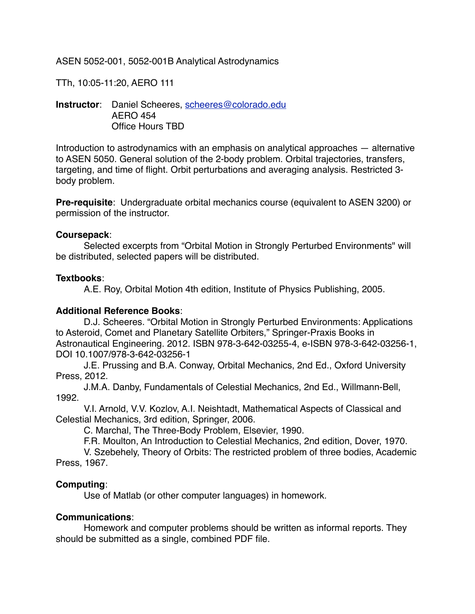ASEN 5052-001, 5052-001B Analytical Astrodynamics

TTh, 10:05-11:20, AERO 111

**Instructor**: Daniel Scheeres, [scheeres@colorado.edu](mailto:scheeres@colorado.edu) AERO 454 Office Hours TBD

Introduction to astrodynamics with an emphasis on analytical approaches — alternative to ASEN 5050. General solution of the 2-body problem. Orbital trajectories, transfers, targeting, and time of flight. Orbit perturbations and averaging analysis. Restricted 3 body problem.

**Pre-requisite**: Undergraduate orbital mechanics course (equivalent to ASEN 3200) or permission of the instructor.

#### **Coursepack**:

Selected excerpts from "Orbital Motion in Strongly Perturbed Environments" will be distributed, selected papers will be distributed.

#### **Textbooks**:

A.E. Roy, Orbital Motion 4th edition, Institute of Physics Publishing, 2005.

#### **Additional Reference Books**:

D.J. Scheeres. "Orbital Motion in Strongly Perturbed Environments: Applications to Asteroid, Comet and Planetary Satellite Orbiters," Springer-Praxis Books in Astronautical Engineering. 2012. ISBN 978-3-642-03255-4, e-ISBN 978-3-642-03256-1, DOI 10.1007/978-3-642-03256-1

J.E. Prussing and B.A. Conway, Orbital Mechanics, 2nd Ed., Oxford University Press, 2012.

J.M.A. Danby, Fundamentals of Celestial Mechanics, 2nd Ed., Willmann-Bell, 1992.

V.I. Arnold, V.V. Kozlov, A.I. Neishtadt, Mathematical Aspects of Classical and Celestial Mechanics, 3rd edition, Springer, 2006.

C. Marchal, The Three-Body Problem, Elsevier, 1990.

F.R. Moulton, An Introduction to Celestial Mechanics, 2nd edition, Dover, 1970.

V. Szebehely, Theory of Orbits: The restricted problem of three bodies, Academic Press, 1967.

#### **Computing**:

Use of Matlab (or other computer languages) in homework.

#### **Communications**:

Homework and computer problems should be written as informal reports. They should be submitted as a single, combined PDF file.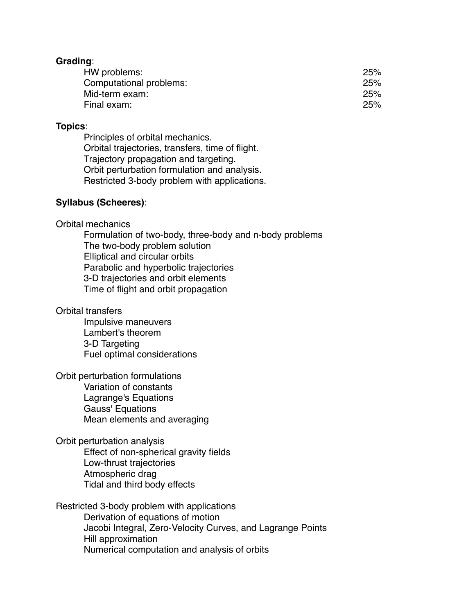#### **Grading**:

| HW problems:            | 25% |
|-------------------------|-----|
| Computational problems: | 25% |
| Mid-term exam:          | 25% |
| Final exam:             | 25% |
|                         |     |

#### **Topics**:

Principles of orbital mechanics. Orbital trajectories, transfers, time of flight. Trajectory propagation and targeting. Orbit perturbation formulation and analysis. Restricted 3-body problem with applications.

#### **Syllabus (Scheeres)**:

#### Orbital mechanics

Formulation of two-body, three-body and n-body problems The two-body problem solution Elliptical and circular orbits Parabolic and hyperbolic trajectories 3-D trajectories and orbit elements Time of flight and orbit propagation

#### Orbital transfers

Impulsive maneuvers Lambert's theorem 3-D Targeting Fuel optimal considerations

Orbit perturbation formulations Variation of constants Lagrange's Equations Gauss' Equations Mean elements and averaging

Orbit perturbation analysis Effect of non-spherical gravity fields Low-thrust trajectories Atmospheric drag Tidal and third body effects

Restricted 3-body problem with applications Derivation of equations of motion Jacobi Integral, Zero-Velocity Curves, and Lagrange Points Hill approximation Numerical computation and analysis of orbits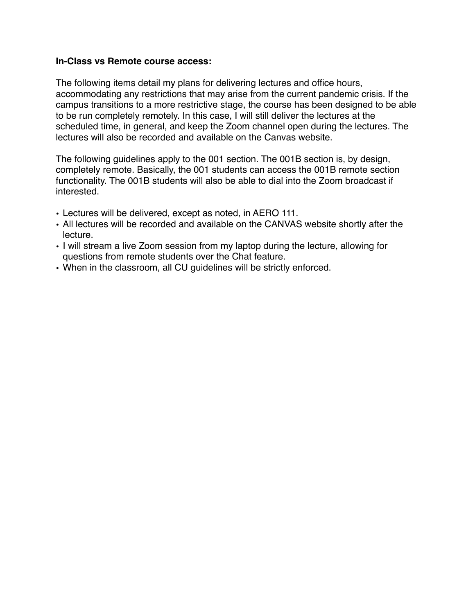#### **In-Class vs Remote course access:**

The following items detail my plans for delivering lectures and office hours, accommodating any restrictions that may arise from the current pandemic crisis. If the campus transitions to a more restrictive stage, the course has been designed to be able to be run completely remotely. In this case, I will still deliver the lectures at the scheduled time, in general, and keep the Zoom channel open during the lectures. The lectures will also be recorded and available on the Canvas website.

The following guidelines apply to the 001 section. The 001B section is, by design, completely remote. Basically, the 001 students can access the 001B remote section functionality. The 001B students will also be able to dial into the Zoom broadcast if interested.

- Lectures will be delivered, except as noted, in AERO 111.
- All lectures will be recorded and available on the CANVAS website shortly after the lecture.
- I will stream a live Zoom session from my laptop during the lecture, allowing for questions from remote students over the Chat feature.
- When in the classroom, all CU guidelines will be strictly enforced.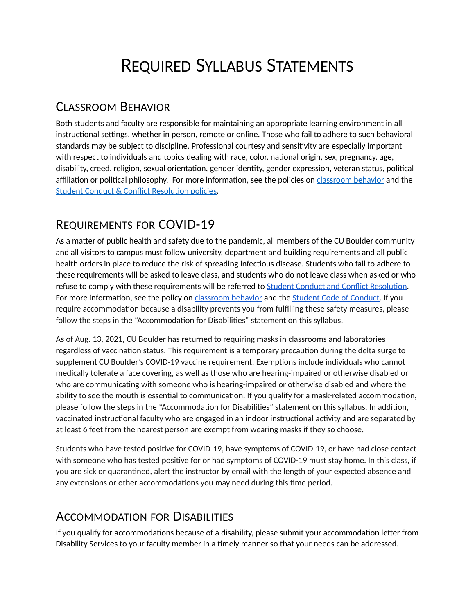# REQUIRED SYLLABUS STATEMENTS

### CLASSROOM BEHAVIOR

Both students and faculty are responsible for maintaining an appropriate learning environment in all instructional settings, whether in person, remote or online. Those who fail to adhere to such behavioral standards may be subject to discipline. Professional courtesy and sensitivity are especially important with respect to individuals and topics dealing with race, color, national origin, sex, pregnancy, age, disability, creed, religion, sexual orientation, gender identity, gender expression, veteran status, political affiliation or political philosophy. For more information, see the policies on [classroom behavior](http://www.colorado.edu/policies/student-classroom-and-course-related-behavior) and the [Student Conduct & Conflict Resolution policies](https://www.colorado.edu/sccr/student-conduct).

## REQUIREMENTS FOR COVID-19

As a matter of public health and safety due to the pandemic, all members of the CU Boulder community and all visitors to campus must follow university, department and building requirements and all public health orders in place to reduce the risk of spreading infectious disease. Students who fail to adhere to these requirements will be asked to leave class, and students who do not leave class when asked or who refuse to comply with these requirements will be referred to [Student Conduct and Conflict Resolution.](https://www.colorado.edu/sccr/) Formore information, see the policy on [classroom behavior](http://www.colorado.edu/policies/student-classroom-and-course-related-behavior) and the [Student Code of Conduct](http://www.colorado.edu/osccr/). If you require accommodation because a disability prevents you from fulfilling these safety measures, please follow the steps in the "Accommodation for Disabilities" statement on this syllabus.

As of Aug. 13, 2021, CU Boulder has returned to requiring masks in classrooms and laboratories regardless of vaccination status. This requirement is a temporary precaution during the delta surge to supplement CU Boulder's COVID-19 vaccine requirement. Exemptions include individuals who cannot medically tolerate a face covering, as well as those who are hearing-impaired or otherwise disabled or who are communicating with someone who is hearing-impaired or otherwise disabled and where the ability to see the mouth is essential to communication. If you qualify for a mask-related accommodation, please follow the steps in the "Accommodation for Disabilities" statement on this syllabus. In addition, vaccinated instructional faculty who are engaged in an indoor instructional activity and are separated by at least 6 feet from the nearest person are exempt from wearing masks if they so choose.

Students who have tested positive for COVID-19, have symptoms of COVID-19, or have had close contact with someone who has tested positive for or had symptoms of COVID-19 must stay home. In this class, if you are sick or quarantined, alert the instructor by email with the length of your expected absence and any extensions or other accommodations you may need during this time period.

### ACCOMMODATION FOR DISABILITIES

If you qualify for accommodations because of a disability, please submit your accommodation letter from Disability Services to your faculty member in a timely manner so that your needs can be addressed.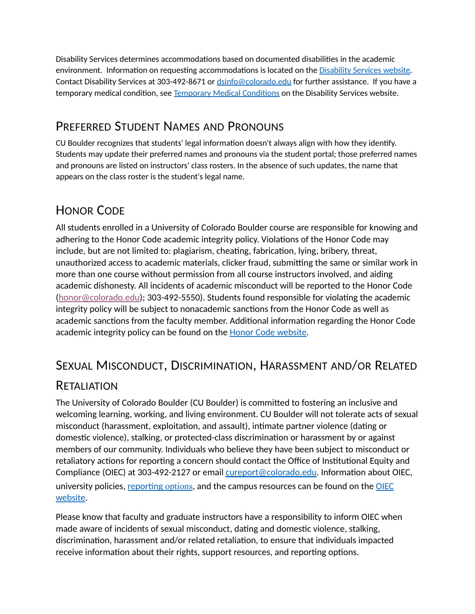Disability Services determines accommodations based on documented disabilities in the academic environment. Information on requesting accommodations is located on the [Disability Services website.](https://www.colorado.edu/disabilityservices/) Contact Disability Services at 303-492-8671 or [dsinfo@colorado.edu](mailto:dsinfo@colorado.edu) for further assistance. If you have a temporary medical condition, see [Temporary Medical Conditions](http://www.colorado.edu/disabilityservices/students/temporary-medical-conditions) on the Disability Services website.

### PREFERRED STUDENT NAMES AND PRONOUNS

CU Boulder recognizes that students' legal information doesn't always align with how they identify. Students may update their preferred names and pronouns via the student portal; those preferred names and pronouns are listed on instructors' class rosters. In the absence of such updates, the name that appears on the class roster is the student's legal name.

### HONOR CODE

All students enrolled in a University of Colorado Boulder course are responsible for knowing and adhering to the Honor Code academic integrity policy. Violations of the Honor Code may include, but are not limited to: plagiarism, cheating, fabrication, lying, bribery, threat, unauthorized access to academic materials, clicker fraud, submitting the same or similar work in more than one course without permission from all course instructors involved, and aiding academic dishonesty. All incidents of academic misconduct will be reported to the Honor Code ([honor@colorado.edu](mailto:honor@colorado.edu)); 303-492-5550). Students found responsible for violating the academic integrity policy will be subject to nonacademic sanctions from the Honor Code as well as academic sanctions from the faculty member. Additional information regarding the Honor Code academic integrity policy can be found on the **[Honor Code website](https://www.colorado.edu/osccr/honor-code)**.

### SEXUAL MISCONDUCT, DISCRIMINATION, HARASSMENT AND/OR RELATED

### **RETALIATION**

The University of Colorado Boulder (CU Boulder) is committed to fostering an inclusive and welcoming learning, working, and living environment. CU Boulder will not tolerate acts of sexual misconduct (harassment, exploitation, and assault), intimate partner violence (dating or domestic violence), stalking, or protected-class discrimination or harassment by or against members of our community. Individuals who believe they have been subject to misconduct or retaliatory actions for reporting a concern should contact the Office of Institutional Equity and Compliance (OIEC) at 303-492-2127 or email [cureport@colorado.edu](mailto:cureport@colorado.edu). Information about OIEC, university policies, [reporting](https://www.colorado.edu/oiec/reporting-resolutions/making-report) options, and the campus resources can be found on the OIEC [website.](http://www.colorado.edu/institutionalequity/)

Please know that faculty and graduate instructors have a responsibility to inform OIEC when made aware of incidents of sexual misconduct, dating and domestic violence, stalking, discrimination, harassment and/or related retaliation, to ensure that individuals impacted receive information about their rights, support resources, and reporting options.